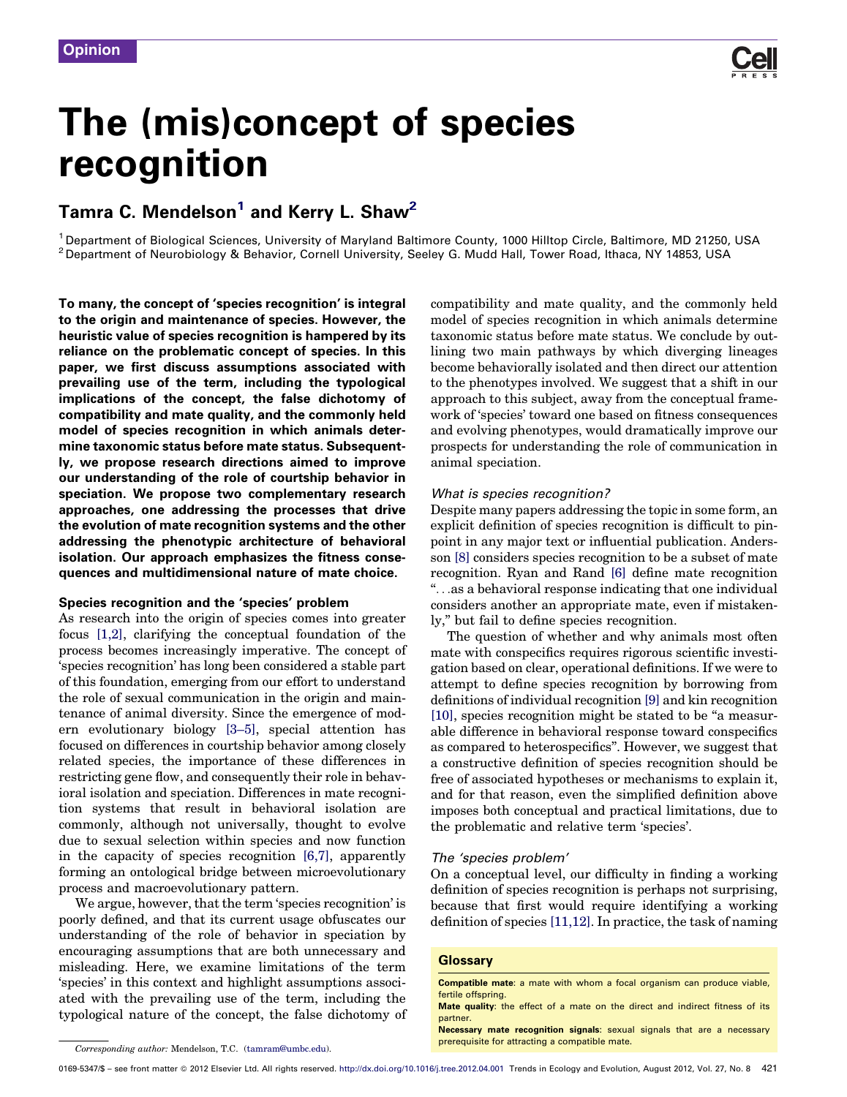

# The (mis)concept of species recognition

## Tamra C. Mendelson<sup>1</sup> and Kerry L. Shaw<sup>2</sup>

<sup>1</sup> Department of Biological Sciences, University of Maryland Baltimore County, 1000 Hilltop Circle, Baltimore, MD 21250, USA<br><sup>2</sup> Department of Neurobiology & Behavior, Cornell University, Seeley G. Mudd Hall, Tower Road,

To many, the concept of 'species recognition' is integral to the origin and maintenance of species. However, the heuristic value of species recognition is hampered by its reliance on the problematic concept of species. In this paper, we first discuss assumptions associated with prevailing use of the term, including the typological implications of the concept, the false dichotomy of compatibility and mate quality, and the commonly held model of species recognition in which animals determine taxonomic status before mate status. Subsequently, we propose research directions aimed to improve our understanding of the role of courtship behavior in speciation. We propose two complementary research approaches, one addressing the processes that drive the evolution of mate recognition systems and the other addressing the phenotypic architecture of behavioral isolation. Our approach emphasizes the fitness consequences and multidimensional nature of mate choice.

#### Species recognition and the 'species' problem

As research into the origin of species comes into greater focus [\[1,2\],](#page-5-0) clarifying the conceptual foundation of the process becomes increasingly imperative. The concept of 'species recognition' has long been considered a stable part of this foundation, emerging from our effort to understand the role of sexual communication in the origin and maintenance of animal diversity. Since the emergence of modern evolutionary biology [\[3–5\]](#page-5-0), special attention has focused on differences in courtship behavior among closely related species, the importance of these differences in restricting gene flow, and consequently their role in behavioral isolation and speciation. Differences in mate recognition systems that result in behavioral isolation are commonly, although not universally, thought to evolve due to sexual selection within species and now function in the capacity of species recognition [\[6,7\]](#page-5-0), apparently forming an ontological bridge between microevolutionary process and macroevolutionary pattern.

We argue, however, that the term 'species recognition' is poorly defined, and that its current usage obfuscates our understanding of the role of behavior in speciation by encouraging assumptions that are both unnecessary and misleading. Here, we examine limitations of the term 'species' in this context and highlight assumptions associated with the prevailing use of the term, including the typological nature of the concept, the false dichotomy of compatibility and mate quality, and the commonly held model of species recognition in which animals determine taxonomic status before mate status. We conclude by outlining two main pathways by which diverging lineages become behaviorally isolated and then direct our attention to the phenotypes involved. We suggest that a shift in our approach to this subject, away from the conceptual framework of 'species' toward one based on fitness consequences and evolving phenotypes, would dramatically improve our prospects for understanding the role of communication in animal speciation.

#### What is species recognition?

Despite many papers addressing the topic in some form, an explicit definition of species recognition is difficult to pinpoint in any major text or influential publication. Andersson [\[8\]](#page-5-0) considers species recognition to be a subset of mate recognition. Ryan and Rand [\[6\]](#page-5-0) define mate recognition ''. . .as a behavioral response indicating that one individual considers another an appropriate mate, even if mistakenly,'' but fail to define species recognition.

The question of whether and why animals most often mate with conspecifics requires rigorous scientific investigation based on clear, operational definitions. If we were to attempt to define species recognition by borrowing from definitions of individual recognition [\[9\]](#page-5-0) and kin recognition [\[10\]](#page-5-0), species recognition might be stated to be ''a measurable difference in behavioral response toward conspecifics as compared to heterospecifics''. However, we suggest that a constructive definition of species recognition should be free of associated hypotheses or mechanisms to explain it, and for that reason, even the simplified definition above imposes both conceptual and practical limitations, due to the problematic and relative term 'species'.

#### The 'species problem'

On a conceptual level, our difficulty in finding a working definition of species recognition is perhaps not surprising, because that first would require identifying a working definition of species [\[11,12\]](#page-5-0). In practice, the task of naming

#### **Glossary**

Necessary mate recognition signals: sexual signals that are a necessary

Compatible mate: a mate with whom a focal organism can produce viable, fertile offspring.

Mate quality: the effect of a mate on the direct and indirect fitness of its partner.

**preferences** and the mate. Corresponding author: Mendelson, T.C. ([tamram@umbc.edu\)](mailto:tamram@umbc.edu). **Corresponding a compatible mate.**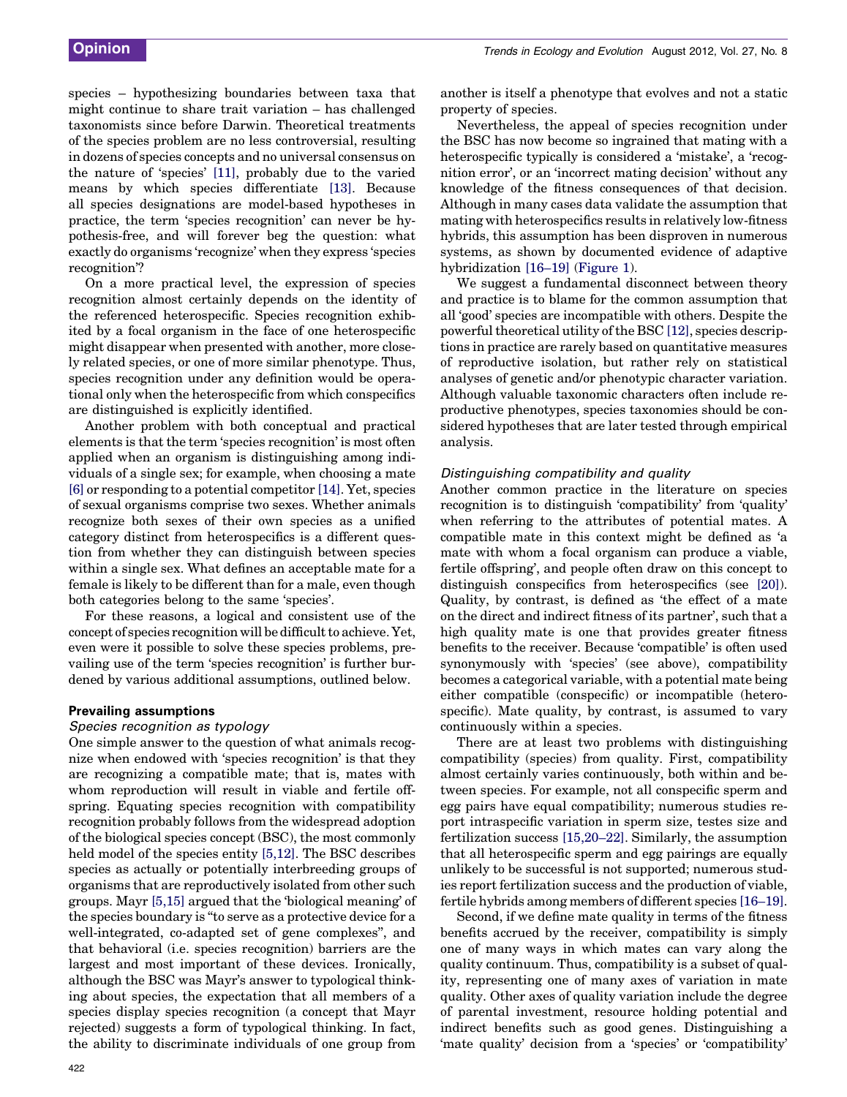species – hypothesizing boundaries between taxa that might continue to share trait variation – has challenged taxonomists since before Darwin. Theoretical treatments of the species problem are no less controversial, resulting in dozens of species concepts and no universal consensus on the nature of 'species' [\[11\],](#page-5-0) probably due to the varied means by which species differentiate [\[13\].](#page-5-0) Because all species designations are model-based hypotheses in practice, the term 'species recognition' can never be hypothesis-free, and will forever beg the question: what exactly do organisms 'recognize' when they express 'species recognition'?

On a more practical level, the expression of species recognition almost certainly depends on the identity of the referenced heterospecific. Species recognition exhibited by a focal organism in the face of one heterospecific might disappear when presented with another, more closely related species, or one of more similar phenotype. Thus, species recognition under any definition would be operational only when the heterospecific from which conspecifics are distinguished is explicitly identified.

Another problem with both conceptual and practical elements is that the term 'species recognition' is most often applied when an organism is distinguishing among individuals of a single sex; for example, when choosing a mate [\[6\]](#page-5-0) or responding to a potential competitor [\[14\]](#page-5-0). Yet, species of sexual organisms comprise two sexes. Whether animals recognize both sexes of their own species as a unified category distinct from heterospecifics is a different question from whether they can distinguish between species within a single sex. What defines an acceptable mate for a female is likely to be different than for a male, even though both categories belong to the same 'species'.

For these reasons, a logical and consistent use of the concept of species recognition will be difficult to achieve. Yet, even were it possible to solve these species problems, prevailing use of the term 'species recognition' is further burdened by various additional assumptions, outlined below.

## Prevailing assumptions

#### Species recognition as typology

One simple answer to the question of what animals recognize when endowed with 'species recognition' is that they are recognizing a compatible mate; that is, mates with whom reproduction will result in viable and fertile offspring. Equating species recognition with compatibility recognition probably follows from the widespread adoption of the biological species concept (BSC), the most commonly held model of the species entity [\[5,12\].](#page-5-0) The BSC describes species as actually or potentially interbreeding groups of organisms that are reproductively isolated from other such groups. Mayr [\[5,15\]](#page-5-0) argued that the 'biological meaning' of the species boundary is ''to serve as a protective device for a well-integrated, co-adapted set of gene complexes'', and that behavioral (i.e. species recognition) barriers are the largest and most important of these devices. Ironically, although the BSC was Mayr's answer to typological thinking about species, the expectation that all members of a species display species recognition (a concept that Mayr rejected) suggests a form of typological thinking. In fact, the ability to discriminate individuals of one group from another is itself a phenotype that evolves and not a static property of species.

Nevertheless, the appeal of species recognition under the BSC has now become so ingrained that mating with a heterospecific typically is considered a 'mistake', a 'recognition error', or an 'incorrect mating decision' without any knowledge of the fitness consequences of that decision. Although in many cases data validate the assumption that mating with heterospecifics results in relatively low-fitness hybrids, this assumption has been disproven in numerous systems, as shown by documented evidence of adaptive hybridization [\[16–19\]](#page-5-0) [\(Figure](#page-2-0) 1).

We suggest a fundamental disconnect between theory and practice is to blame for the common assumption that all 'good' species are incompatible with others. Despite the powerful theoretical utility of the BSC  $[12]$ , species descriptions in practice are rarely based on quantitative measures of reproductive isolation, but rather rely on statistical analyses of genetic and/or phenotypic character variation. Although valuable taxonomic characters often include reproductive phenotypes, species taxonomies should be considered hypotheses that are later tested through empirical analysis.

#### Distinguishing compatibility and quality

Another common practice in the literature on species recognition is to distinguish 'compatibility' from 'quality' when referring to the attributes of potential mates. A compatible mate in this context might be defined as 'a mate with whom a focal organism can produce a viable, fertile offspring', and people often draw on this concept to distinguish conspecifics from heterospecifics (see [\[20\]](#page-5-0)). Quality, by contrast, is defined as 'the effect of a mate on the direct and indirect fitness of its partner', such that a high quality mate is one that provides greater fitness benefits to the receiver. Because 'compatible' is often used synonymously with 'species' (see above), compatibility becomes a categorical variable, with a potential mate being either compatible (conspecific) or incompatible (heterospecific). Mate quality, by contrast, is assumed to vary continuously within a species.

There are at least two problems with distinguishing compatibility (species) from quality. First, compatibility almost certainly varies continuously, both within and between species. For example, not all conspecific sperm and egg pairs have equal compatibility; numerous studies report intraspecific variation in sperm size, testes size and fertilization success [\[15,20–22\].](#page-5-0) Similarly, the assumption that all heterospecific sperm and egg pairings are equally unlikely to be successful is not supported; numerous studies report fertilization success and the production of viable, fertile hybrids among members of different species [\[16–19\]](#page-5-0).

Second, if we define mate quality in terms of the fitness benefits accrued by the receiver, compatibility is simply one of many ways in which mates can vary along the quality continuum. Thus, compatibility is a subset of quality, representing one of many axes of variation in mate quality. Other axes of quality variation include the degree of parental investment, resource holding potential and indirect benefits such as good genes. Distinguishing a 'mate quality' decision from a 'species' or 'compatibility'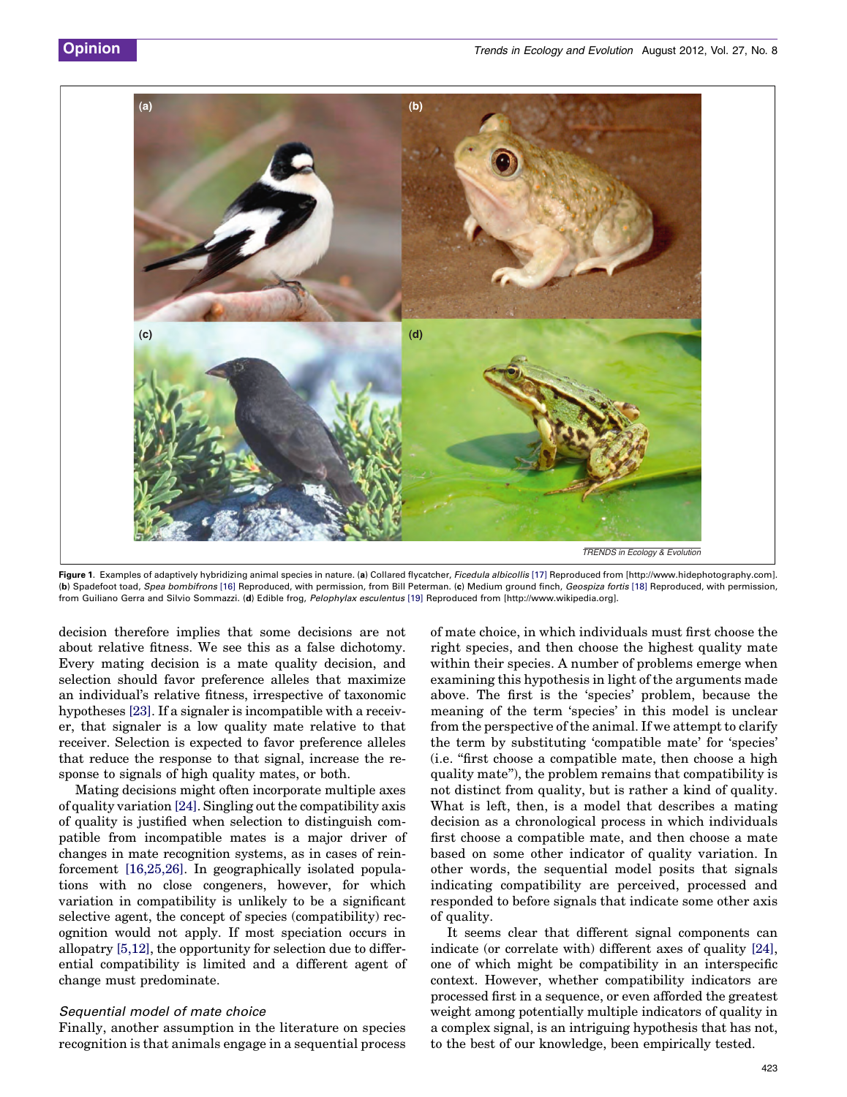<span id="page-2-0"></span>

Figure 1. Examples of adaptively hybridizing animal species in nature. (a) Collared flycatcher, Ficedula albicollis [\[17\]](#page-5-0) Reproduced from [http://www.hidephotography.com]. (b) Spadefoot toad, Spea bombifrons [\[16\]](#page-5-0) Reproduced, with permission, from Bill Peterman. (c) Medium ground finch, Geospiza fortis [\[18\]](#page-5-0) Reproduced, with permission, from Guiliano Gerra and Silvio Sommazzi. (d) Edible frog, Pelophylax esculentus [\[19\]](#page-5-0) Reproduced from [http://www.wikipedia.org].

decision therefore implies that some decisions are not about relative fitness. We see this as a false dichotomy. Every mating decision is a mate quality decision, and selection should favor preference alleles that maximize an individual's relative fitness, irrespective of taxonomic hypotheses [\[23\].](#page-5-0) If a signaler is incompatible with a receiver, that signaler is a low quality mate relative to that receiver. Selection is expected to favor preference alleles that reduce the response to that signal, increase the response to signals of high quality mates, or both.

Mating decisions might often incorporate multiple axes of quality variation  $[24]$ . Singling out the compatibility axis of quality is justified when selection to distinguish compatible from incompatible mates is a major driver of changes in mate recognition systems, as in cases of reinforcement [\[16,25,26\].](#page-5-0) In geographically isolated populations with no close congeners, however, for which variation in compatibility is unlikely to be a significant selective agent, the concept of species (compatibility) recognition would not apply. If most speciation occurs in allopatry [\[5,12\],](#page-5-0) the opportunity for selection due to differential compatibility is limited and a different agent of change must predominate.

#### Sequential model of mate choice

Finally, another assumption in the literature on species recognition is that animals engage in a sequential process

of mate choice, in which individuals must first choose the right species, and then choose the highest quality mate within their species. A number of problems emerge when examining this hypothesis in light of the arguments made above. The first is the 'species' problem, because the meaning of the term 'species' in this model is unclear from the perspective of the animal. If we attempt to clarify the term by substituting 'compatible mate' for 'species' (i.e. ''first choose a compatible mate, then choose a high quality mate''), the problem remains that compatibility is not distinct from quality, but is rather a kind of quality. What is left, then, is a model that describes a mating decision as a chronological process in which individuals first choose a compatible mate, and then choose a mate based on some other indicator of quality variation. In other words, the sequential model posits that signals indicating compatibility are perceived, processed and responded to before signals that indicate some other axis of quality.

It seems clear that different signal components can indicate (or correlate with) different axes of quality [\[24\]](#page-5-0), one of which might be compatibility in an interspecific context. However, whether compatibility indicators are processed first in a sequence, or even afforded the greatest weight among potentially multiple indicators of quality in a complex signal, is an intriguing hypothesis that has not, to the best of our knowledge, been empirically tested.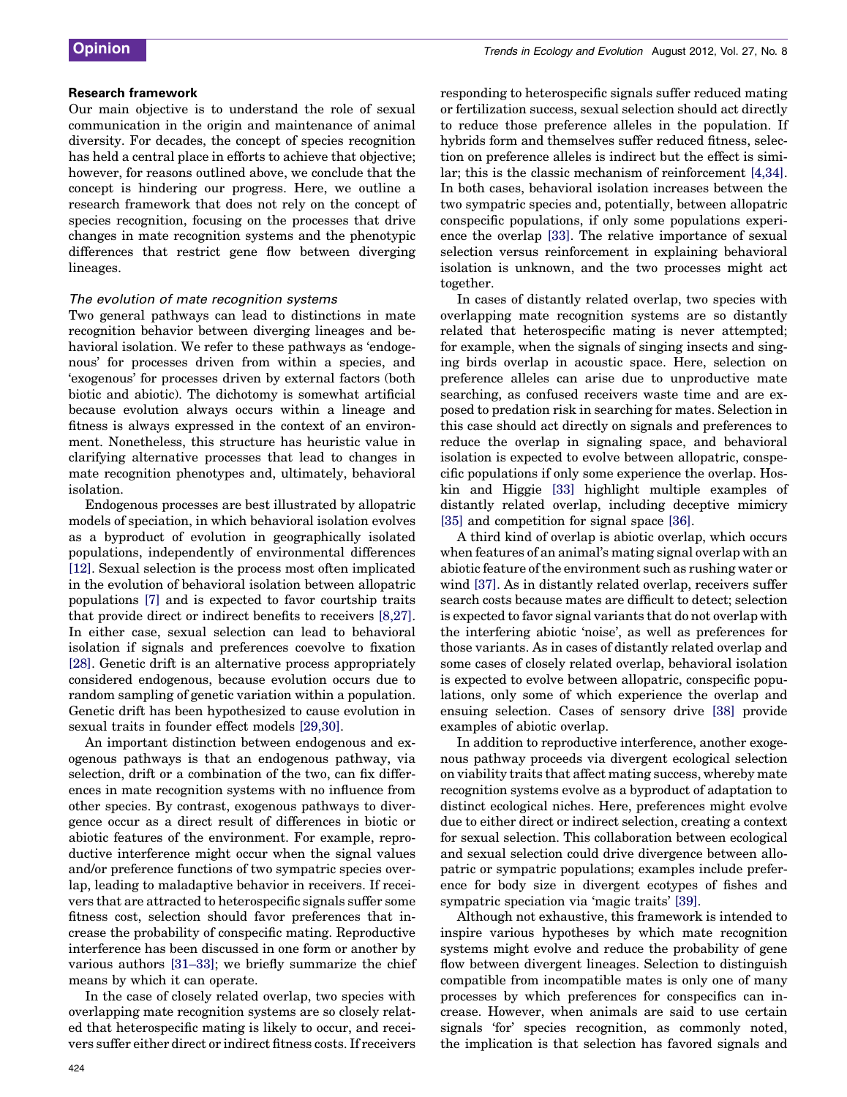#### Research framework

Our main objective is to understand the role of sexual communication in the origin and maintenance of animal diversity. For decades, the concept of species recognition has held a central place in efforts to achieve that objective; however, for reasons outlined above, we conclude that the concept is hindering our progress. Here, we outline a research framework that does not rely on the concept of species recognition, focusing on the processes that drive changes in mate recognition systems and the phenotypic differences that restrict gene flow between diverging lineages.

## The evolution of mate recognition systems

Two general pathways can lead to distinctions in mate recognition behavior between diverging lineages and behavioral isolation. We refer to these pathways as 'endogenous' for processes driven from within a species, and 'exogenous' for processes driven by external factors (both biotic and abiotic). The dichotomy is somewhat artificial because evolution always occurs within a lineage and fitness is always expressed in the context of an environment. Nonetheless, this structure has heuristic value in clarifying alternative processes that lead to changes in mate recognition phenotypes and, ultimately, behavioral isolation.

Endogenous processes are best illustrated by allopatric models of speciation, in which behavioral isolation evolves as a byproduct of evolution in geographically isolated populations, independently of environmental differences [\[12\]](#page-5-0). Sexual selection is the process most often implicated in the evolution of behavioral isolation between allopatric populations [\[7\]](#page-5-0) and is expected to favor courtship traits that provide direct or indirect benefits to receivers [\[8,27\]](#page-5-0). In either case, sexual selection can lead to behavioral isolation if signals and preferences coevolve to fixation [\[28\]](#page-5-0). Genetic drift is an alternative process appropriately considered endogenous, because evolution occurs due to random sampling of genetic variation within a population. Genetic drift has been hypothesized to cause evolution in sexual traits in founder effect models [\[29,30\]](#page-5-0).

An important distinction between endogenous and exogenous pathways is that an endogenous pathway, via selection, drift or a combination of the two, can fix differences in mate recognition systems with no influence from other species. By contrast, exogenous pathways to divergence occur as a direct result of differences in biotic or abiotic features of the environment. For example, reproductive interference might occur when the signal values and/or preference functions of two sympatric species overlap, leading to maladaptive behavior in receivers. If receivers that are attracted to heterospecific signals suffer some fitness cost, selection should favor preferences that increase the probability of conspecific mating. Reproductive interference has been discussed in one form or another by various authors [\[31–33\]](#page-5-0); we briefly summarize the chief means by which it can operate.

In the case of closely related overlap, two species with overlapping mate recognition systems are so closely related that heterospecific mating is likely to occur, and receivers suffer either direct or indirect fitness costs. If receivers responding to heterospecific signals suffer reduced mating or fertilization success, sexual selection should act directly to reduce those preference alleles in the population. If hybrids form and themselves suffer reduced fitness, selection on preference alleles is indirect but the effect is similar; this is the classic mechanism of reinforcement [\[4,34\]](#page-5-0). In both cases, behavioral isolation increases between the two sympatric species and, potentially, between allopatric conspecific populations, if only some populations experience the overlap [\[33\]](#page-5-0). The relative importance of sexual selection versus reinforcement in explaining behavioral isolation is unknown, and the two processes might act together.

In cases of distantly related overlap, two species with overlapping mate recognition systems are so distantly related that heterospecific mating is never attempted; for example, when the signals of singing insects and singing birds overlap in acoustic space. Here, selection on preference alleles can arise due to unproductive mate searching, as confused receivers waste time and are exposed to predation risk in searching for mates. Selection in this case should act directly on signals and preferences to reduce the overlap in signaling space, and behavioral isolation is expected to evolve between allopatric, conspecific populations if only some experience the overlap. Hoskin and Higgie [\[33\]](#page-5-0) highlight multiple examples of distantly related overlap, including deceptive mimicry [\[35\]](#page-6-0) and competition for signal space [\[36\]](#page-6-0).

A third kind of overlap is abiotic overlap, which occurs when features of an animal's mating signal overlap with an abiotic feature of the environment such as rushing water or wind [\[37\]](#page-6-0). As in distantly related overlap, receivers suffer search costs because mates are difficult to detect; selection is expected to favor signal variants that do not overlap with the interfering abiotic 'noise', as well as preferences for those variants. As in cases of distantly related overlap and some cases of closely related overlap, behavioral isolation is expected to evolve between allopatric, conspecific populations, only some of which experience the overlap and ensuing selection. Cases of sensory drive [\[38\]](#page-6-0) provide examples of abiotic overlap.

In addition to reproductive interference, another exogenous pathway proceeds via divergent ecological selection on viability traits that affect mating success, whereby mate recognition systems evolve as a byproduct of adaptation to distinct ecological niches. Here, preferences might evolve due to either direct or indirect selection, creating a context for sexual selection. This collaboration between ecological and sexual selection could drive divergence between allopatric or sympatric populations; examples include preference for body size in divergent ecotypes of fishes and sympatric speciation via 'magic traits' [\[39\].](#page-6-0)

Although not exhaustive, this framework is intended to inspire various hypotheses by which mate recognition systems might evolve and reduce the probability of gene flow between divergent lineages. Selection to distinguish compatible from incompatible mates is only one of many processes by which preferences for conspecifics can increase. However, when animals are said to use certain signals 'for' species recognition, as commonly noted, the implication is that selection has favored signals and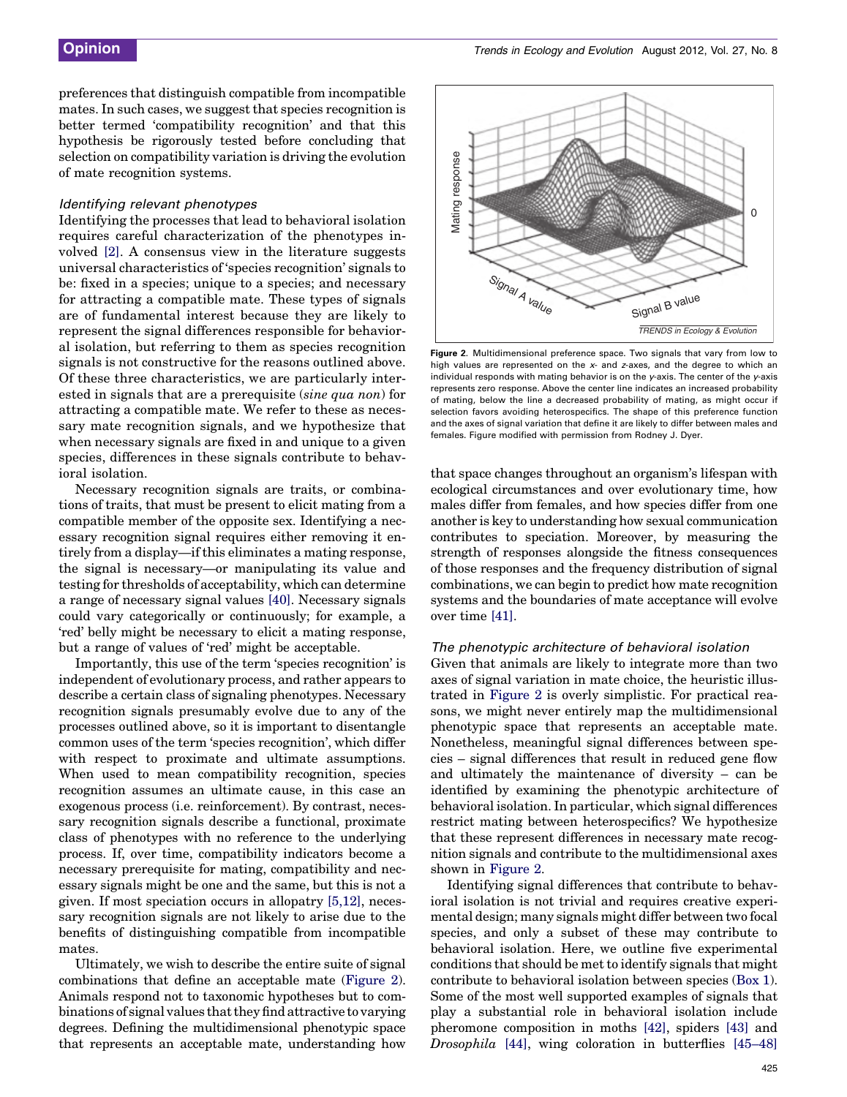preferences that distinguish compatible from incompatible mates. In such cases, we suggest that species recognition is better termed 'compatibility recognition' and that this hypothesis be rigorously tested before concluding that selection on compatibility variation is driving the evolution of mate recognition systems.

#### Identifying relevant phenotypes

Identifying the processes that lead to behavioral isolation requires careful characterization of the phenotypes involved [\[2\].](#page-5-0) A consensus view in the literature suggests universal characteristics of 'species recognition' signals to be: fixed in a species; unique to a species; and necessary for attracting a compatible mate. These types of signals are of fundamental interest because they are likely to represent the signal differences responsible for behavioral isolation, but referring to them as species recognition signals is not constructive for the reasons outlined above. Of these three characteristics, we are particularly interested in signals that are a prerequisite (sine qua non) for attracting a compatible mate. We refer to these as necessary mate recognition signals, and we hypothesize that when necessary signals are fixed in and unique to a given species, differences in these signals contribute to behavioral isolation.

Necessary recognition signals are traits, or combinations of traits, that must be present to elicit mating from a compatible member of the opposite sex. Identifying a necessary recognition signal requires either removing it entirely from a display—if this eliminates a mating response, the signal is necessary—or manipulating its value and testing for thresholds of acceptability, which can determine a range of necessary signal values [\[40\]](#page-6-0). Necessary signals could vary categorically or continuously; for example, a 'red' belly might be necessary to elicit a mating response, but a range of values of 'red' might be acceptable.

Importantly, this use of the term 'species recognition' is independent of evolutionary process, and rather appears to describe a certain class of signaling phenotypes. Necessary recognition signals presumably evolve due to any of the processes outlined above, so it is important to disentangle common uses of the term 'species recognition', which differ with respect to proximate and ultimate assumptions. When used to mean compatibility recognition, species recognition assumes an ultimate cause, in this case an exogenous process (i.e. reinforcement). By contrast, necessary recognition signals describe a functional, proximate class of phenotypes with no reference to the underlying process. If, over time, compatibility indicators become a necessary prerequisite for mating, compatibility and necessary signals might be one and the same, but this is not a given. If most speciation occurs in allopatry [\[5,12\]](#page-5-0), necessary recognition signals are not likely to arise due to the benefits of distinguishing compatible from incompatible mates.

Ultimately, we wish to describe the entire suite of signal combinations that define an acceptable mate (Figure 2). Animals respond not to taxonomic hypotheses but to combinations of signal values that they find attractive to varying degrees. Defining the multidimensional phenotypic space that represents an acceptable mate, understanding how



Figure 2. Multidimensional preference space. Two signals that vary from low to high values are represented on the  $x$ - and  $z$ -axes, and the degree to which an individual responds with mating behavior is on the  $\gamma$ -axis. The center of the  $\gamma$ -axis represents zero response. Above the center line indicates an increased probability of mating, below the line a decreased probability of mating, as might occur if selection favors avoiding heterospecifics. The shape of this preference function and the axes of signal variation that define it are likely to differ between males and females. Figure modified with permission from Rodney J. Dyer.

that space changes throughout an organism's lifespan with ecological circumstances and over evolutionary time, how males differ from females, and how species differ from one another is key to understanding how sexual communication contributes to speciation. Moreover, by measuring the strength of responses alongside the fitness consequences of those responses and the frequency distribution of signal combinations, we can begin to predict how mate recognition systems and the boundaries of mate acceptance will evolve over time [\[41\]](#page-6-0).

#### The phenotypic architecture of behavioral isolation

Given that animals are likely to integrate more than two axes of signal variation in mate choice, the heuristic illustrated in Figure 2 is overly simplistic. For practical reasons, we might never entirely map the multidimensional phenotypic space that represents an acceptable mate. Nonetheless, meaningful signal differences between species – signal differences that result in reduced gene flow and ultimately the maintenance of diversity – can be identified by examining the phenotypic architecture of behavioral isolation. In particular, which signal differences restrict mating between heterospecifics? We hypothesize that these represent differences in necessary mate recognition signals and contribute to the multidimensional axes shown in Figure 2.

Identifying signal differences that contribute to behavioral isolation is not trivial and requires creative experimental design; many signals might differ between two focal species, and only a subset of these may contribute to behavioral isolation. Here, we outline five experimental conditions that should be met to identify signals that might contribute to behavioral isolation between species ([Box](#page-5-0) 1). Some of the most well supported examples of signals that play a substantial role in behavioral isolation include pheromone composition in moths [\[42\],](#page-6-0) spiders [\[43\]](#page-6-0) and Drosophila [\[44\],](#page-6-0) wing coloration in butterflies [\[45–48\]](#page-6-0)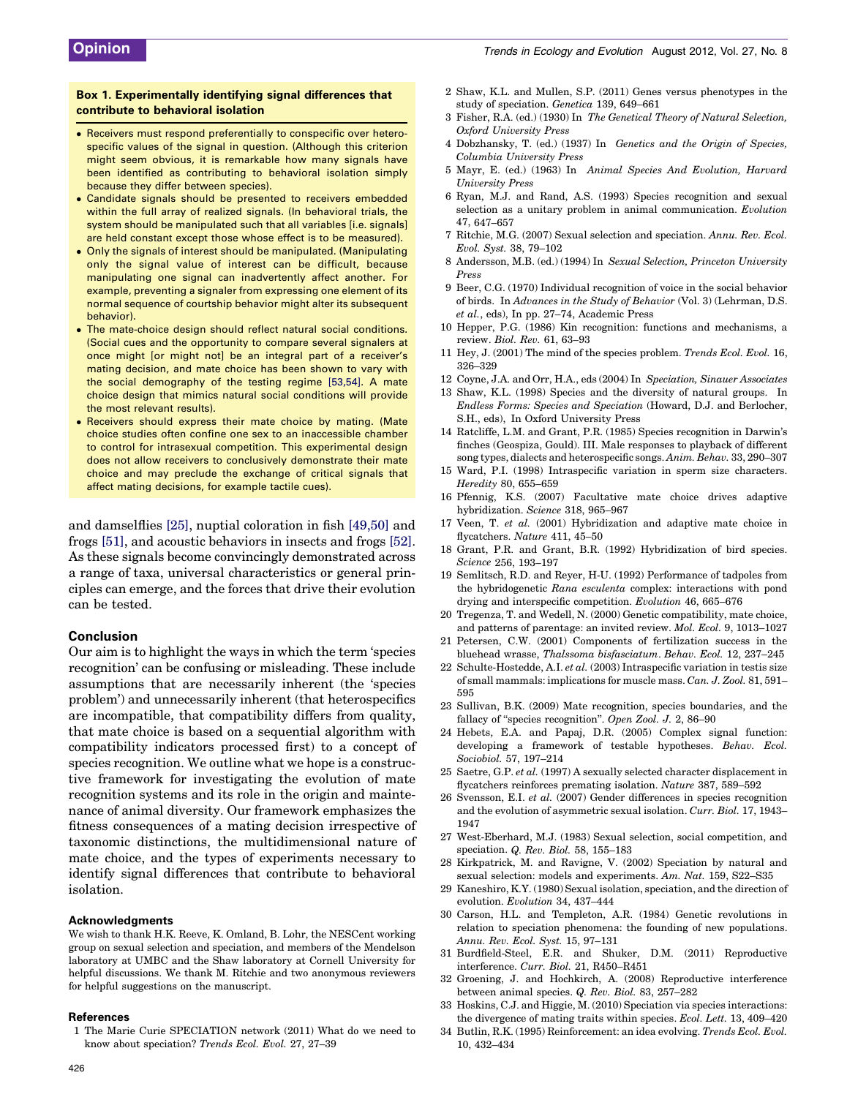#### <span id="page-5-0"></span>Box 1. Experimentally identifying signal differences that contribute to behavioral isolation

- Receivers must respond preferentially to conspecific over heterospecific values of the signal in question. (Although this criterion might seem obvious, it is remarkable how many signals have been identified as contributing to behavioral isolation simply because they differ between species).
- Candidate signals should be presented to receivers embedded within the full array of realized signals. (In behavioral trials, the system should be manipulated such that all variables [i.e. signals] are held constant except those whose effect is to be measured).
- Only the signals of interest should be manipulated. (Manipulating only the signal value of interest can be difficult, because manipulating one signal can inadvertently affect another. For example, preventing a signaler from expressing one element of its normal sequence of courtship behavior might alter its subsequent behavior).
- $\bullet$  The mate-choice design should reflect natural social conditions. (Social cues and the opportunity to compare several signalers at once might [or might not] be an integral part of a receiver's mating decision, and mate choice has been shown to vary with the social demography of the testing regime [\[53,54\]](#page-6-0). A mate choice design that mimics natural social conditions will provide the most relevant results).
- Receivers should express their mate choice by mating. (Mate choice studies often confine one sex to an inaccessible chamber to control for intrasexual competition. This experimental design does not allow receivers to conclusively demonstrate their mate choice and may preclude the exchange of critical signals that affect mating decisions, for example tactile cues).

and damselflies [25], nuptial coloration in fish [\[49,50\]](#page-6-0) and frogs [\[51\],](#page-6-0) and acoustic behaviors in insects and frogs [\[52\]](#page-6-0). As these signals become convincingly demonstrated across a range of taxa, universal characteristics or general principles can emerge, and the forces that drive their evolution can be tested.

#### Conclusion

Our aim is to highlight the ways in which the term 'species recognition' can be confusing or misleading. These include assumptions that are necessarily inherent (the 'species problem') and unnecessarily inherent (that heterospecifics are incompatible, that compatibility differs from quality, that mate choice is based on a sequential algorithm with compatibility indicators processed first) to a concept of species recognition. We outline what we hope is a constructive framework for investigating the evolution of mate recognition systems and its role in the origin and maintenance of animal diversity. Our framework emphasizes the fitness consequences of a mating decision irrespective of taxonomic distinctions, the multidimensional nature of mate choice, and the types of experiments necessary to identify signal differences that contribute to behavioral isolation.

#### Acknowledgments

We wish to thank H.K. Reeve, K. Omland, B. Lohr, the NESCent working group on sexual selection and speciation, and members of the Mendelson laboratory at UMBC and the Shaw laboratory at Cornell University for helpful discussions. We thank M. Ritchie and two anonymous reviewers for helpful suggestions on the manuscript.

#### References

1 The Marie Curie SPECIATION network (2011) What do we need to know about speciation? Trends Ecol. Evol. 27, 27–39

- 2 Shaw, K.L. and Mullen, S.P. (2011) Genes versus phenotypes in the study of speciation. Genetica 139, 649–661
- 3 Fisher, R.A. (ed.) (1930) In The Genetical Theory of Natural Selection, Oxford University Press
- 4 Dobzhansky, T. (ed.) (1937) In Genetics and the Origin of Species, Columbia University Press
- 5 Mayr, E. (ed.) (1963) In Animal Species And Evolution, Harvard University Press
- 6 Ryan, M.J. and Rand, A.S. (1993) Species recognition and sexual selection as a unitary problem in animal communication. Evolution 47, 647–657
- 7 Ritchie, M.G. (2007) Sexual selection and speciation. Annu. Rev. Ecol. Evol. Syst. 38, 79–102
- 8 Andersson, M.B. (ed.) (1994) In Sexual Selection, Princeton University Press
- 9 Beer, C.G. (1970) Individual recognition of voice in the social behavior of birds. In Advances in the Study of Behavior (Vol. 3) (Lehrman, D.S. et al., eds), In pp. 27–74, Academic Press
- 10 Hepper, P.G. (1986) Kin recognition: functions and mechanisms, a review. Biol. Rev. 61, 63–93
- 11 Hey, J. (2001) The mind of the species problem. Trends Ecol. Evol. 16, 326–329
- 12 Coyne, J.A. and Orr, H.A., eds (2004) In Speciation, Sinauer Associates
- 13 Shaw, K.L. (1998) Species and the diversity of natural groups. In Endless Forms: Species and Speciation (Howard, D.J. and Berlocher, S.H., eds), In Oxford University Press
- 14 Ratcliffe, L.M. and Grant, P.R. (1985) Species recognition in Darwin's finches (Geospiza, Gould). III. Male responses to playback of different song types, dialects and heterospecific songs. Anim. Behav. 33, 290–307
- 15 Ward, P.I. (1998) Intraspecific variation in sperm size characters. Heredity 80, 655–659
- 16 Pfennig, K.S. (2007) Facultative mate choice drives adaptive hybridization. Science 318, 965–967
- 17 Veen, T. et al. (2001) Hybridization and adaptive mate choice in flycatchers. Nature 411, 45–50
- 18 Grant, P.R. and Grant, B.R. (1992) Hybridization of bird species. Science 256, 193–197
- 19 Semlitsch, R.D. and Reyer, H-U. (1992) Performance of tadpoles from the hybridogenetic Rana esculenta complex: interactions with pond drying and interspecific competition. Evolution 46, 665–676
- 20 Tregenza, T. and Wedell, N. (2000) Genetic compatibility, mate choice, and patterns of parentage: an invited review. Mol. Ecol. 9, 1013–1027
- 21 Petersen, C.W. (2001) Components of fertilization success in the bluehead wrasse, Thalssoma bisfasciatum. Behav. Ecol. 12, 237–245
- 22 Schulte-Hostedde, A.I. et al. (2003) Intraspecific variation in testis size of small mammals: implications for muscle mass. Can. J. Zool. 81, 591– 595
- 23 Sullivan, B.K. (2009) Mate recognition, species boundaries, and the fallacy of "species recognition". Open Zool. J. 2, 86-90
- 24 Hebets, E.A. and Papaj, D.R. (2005) Complex signal function: developing a framework of testable hypotheses. Behav. Ecol. Sociobiol. 57, 197–214
- 25 Saetre, G.P. et al. (1997) A sexually selected character displacement in flycatchers reinforces premating isolation. Nature 387, 589–592
- 26 Svensson, E.I. et al. (2007) Gender differences in species recognition and the evolution of asymmetric sexual isolation. Curr. Biol. 17, 1943– 1947
- 27 West-Eberhard, M.J. (1983) Sexual selection, social competition, and speciation. Q. Rev. Biol. 58, 155–183
- 28 Kirkpatrick, M. and Ravigne, V. (2002) Speciation by natural and sexual selection: models and experiments. Am. Nat. 159, S22–S35
- 29 Kaneshiro, K.Y. (1980) Sexual isolation, speciation, and the direction of evolution. Evolution 34, 437–444
- 30 Carson, H.L. and Templeton, A.R. (1984) Genetic revolutions in relation to speciation phenomena: the founding of new populations. Annu. Rev. Ecol. Syst. 15, 97–131
- 31 Burdfield-Steel, E.R. and Shuker, D.M. (2011) Reproductive interference. Curr. Biol. 21, R450–R451
- 32 Groening, J. and Hochkirch, A. (2008) Reproductive interference between animal species. Q. Rev. Biol. 83, 257–282
- 33 Hoskins, C.J. and Higgie, M. (2010) Speciation via species interactions: the divergence of mating traits within species. Ecol. Lett. 13, 409–420
- 34 Butlin, R.K. (1995) Reinforcement: an idea evolving. Trends Ecol. Evol. 10, 432–434